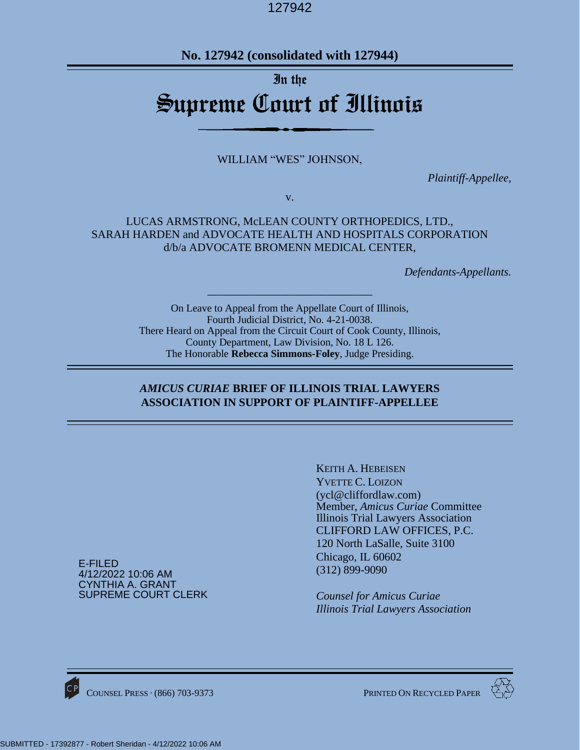**No. 127942 (consolidated with 127944)**

# In the Supreme Court of Illinois

WILLIAM "WES" JOHNSON,

*Plaintiff-Appellee,*

v.

# LUCAS ARMSTRONG, McLEAN COUNTY ORTHOPEDICS, LTD., SARAH HARDEN and ADVOCATE HEALTH AND HOSPITALS CORPORATION d/b/a ADVOCATE BROMENN MEDICAL CENTER,

*Defendants-Appellants.*

On Leave to Appeal from the Appellate Court of Illinois, Fourth Judicial District, No. 4-21-0038. There Heard on Appeal from the Circuit Court of Cook County, Illinois, County Department, Law Division, No. 18 L 126. The Honorable **Rebecca Simmons-Foley**, Judge Presiding.

*\_\_\_\_\_\_\_\_\_\_\_\_\_\_\_\_\_\_\_\_\_\_\_\_\_\_\_\_\_*

# *AMICUS CURIAE* **BRIEF OF ILLINOIS TRIAL LAWYERS ASSOCIATION IN SUPPORT OF PLAINTIFF-APPELLEE**

E-FILED 4/12/2022 10:06 AM CYNTHIA A. GRANT SUPREME COURT CLERK KEITH A. HEBEISEN YVETTE C. LOIZON (ycl@cliffordlaw.com) Member, *Amicus Curiae* Committee Illinois Trial Lawyers Association CLIFFORD LAW OFFICES, P.C. 120 North LaSalle, Suite 3100 Chicago, IL 60602 (312) 899-9090

*Counsel for Amicus Curiae Illinois Trial Lawyers Association*



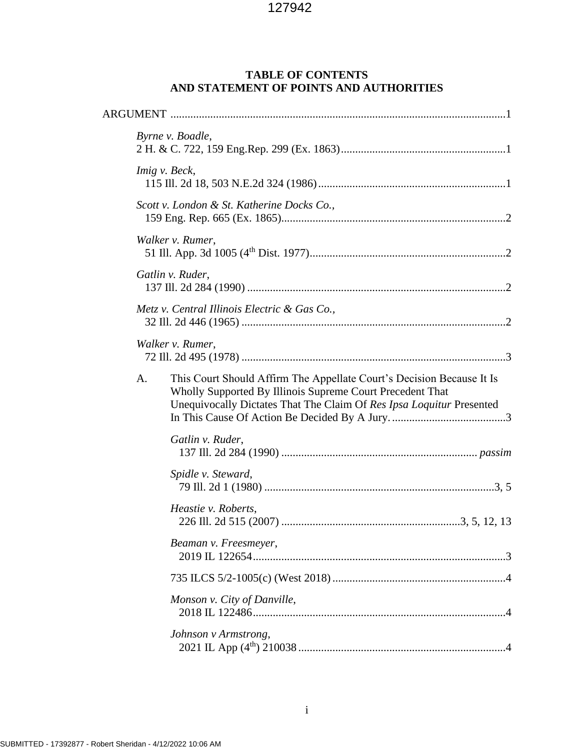# **TABLE OF CONTENTS AND STATEMENT OF POINTS AND AUTHORITIES**

|    | Byrne v. Boadle,                                                                                                                                                                                           |  |  |  |  |
|----|------------------------------------------------------------------------------------------------------------------------------------------------------------------------------------------------------------|--|--|--|--|
|    | Imig v. Beck,                                                                                                                                                                                              |  |  |  |  |
|    | Scott v. London & St. Katherine Docks Co.,                                                                                                                                                                 |  |  |  |  |
|    | Walker v. Rumer,                                                                                                                                                                                           |  |  |  |  |
|    | Gatlin v. Ruder,                                                                                                                                                                                           |  |  |  |  |
|    | Metz v. Central Illinois Electric & Gas Co.,                                                                                                                                                               |  |  |  |  |
|    | Walker v. Rumer,                                                                                                                                                                                           |  |  |  |  |
| A. | This Court Should Affirm The Appellate Court's Decision Because It Is<br>Wholly Supported By Illinois Supreme Court Precedent That<br>Unequivocally Dictates That The Claim Of Res Ipsa Loquitur Presented |  |  |  |  |
|    | Gatlin v. Ruder,                                                                                                                                                                                           |  |  |  |  |
|    | Spidle v. Steward,                                                                                                                                                                                         |  |  |  |  |
|    | Heastie v. Roberts,                                                                                                                                                                                        |  |  |  |  |
|    | Beaman v. Freesmeyer,                                                                                                                                                                                      |  |  |  |  |
|    |                                                                                                                                                                                                            |  |  |  |  |
|    | Monson v. City of Danville,                                                                                                                                                                                |  |  |  |  |
|    | Johnson v Armstrong,                                                                                                                                                                                       |  |  |  |  |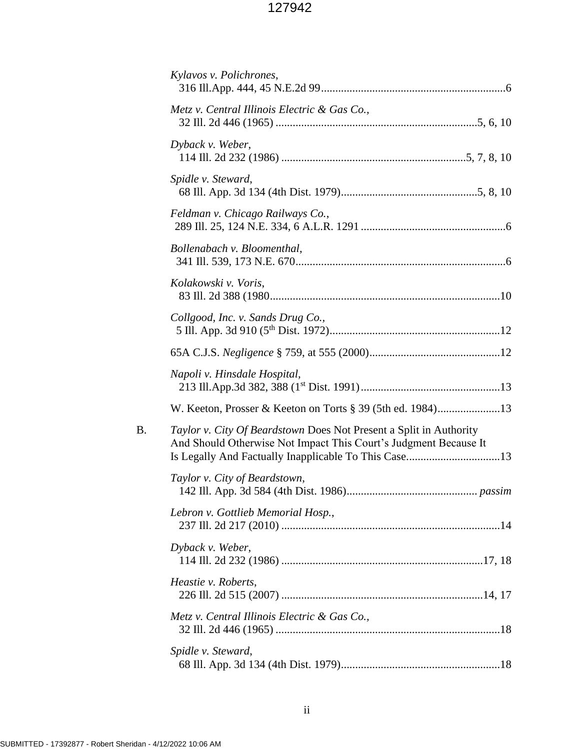|    | Kylavos v. Polichrones,                                                                                                                |
|----|----------------------------------------------------------------------------------------------------------------------------------------|
|    | Metz v. Central Illinois Electric & Gas Co.,                                                                                           |
|    | Dyback v. Weber,                                                                                                                       |
|    | Spidle v. Steward,                                                                                                                     |
|    | Feldman v. Chicago Railways Co.,                                                                                                       |
|    | Bollenabach v. Bloomenthal,                                                                                                            |
|    | Kolakowski v. Voris,                                                                                                                   |
|    | Collgood, Inc. v. Sands Drug Co.,                                                                                                      |
|    |                                                                                                                                        |
|    | Napoli v. Hinsdale Hospital,                                                                                                           |
|    | W. Keeton, Prosser & Keeton on Torts § 39 (5th ed. 1984)13                                                                             |
| B. | Taylor v. City Of Beardstown Does Not Present a Split in Authority<br>And Should Otherwise Not Impact This Court's Judgment Because It |
|    | Taylor v. City of Beardstown,                                                                                                          |
|    | Lebron v. Gottlieb Memorial Hosp.,                                                                                                     |
|    | Dyback v. Weber,                                                                                                                       |
|    | Heastie v. Roberts,                                                                                                                    |
|    | Metz v. Central Illinois Electric & Gas Co.,                                                                                           |
|    | Spidle v. Steward,                                                                                                                     |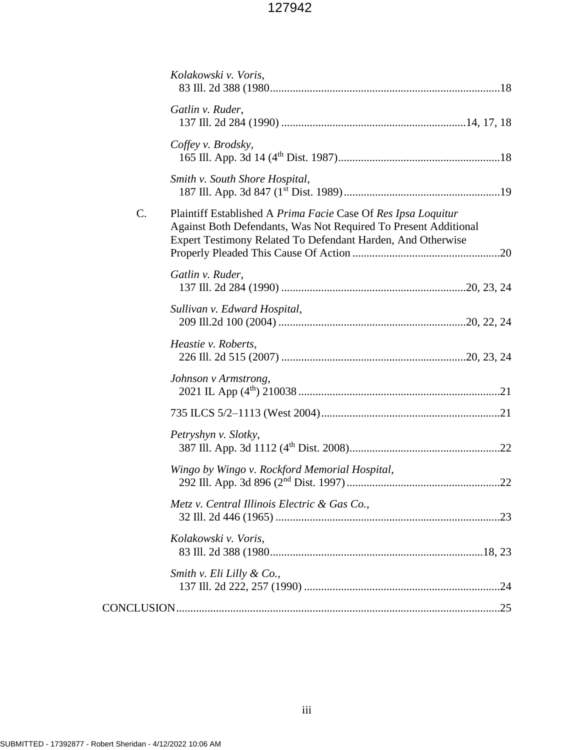|                 | Kolakowski v. Voris,                                                                                                                                                                            |
|-----------------|-------------------------------------------------------------------------------------------------------------------------------------------------------------------------------------------------|
|                 | Gatlin v. Ruder,                                                                                                                                                                                |
|                 | Coffey v. Brodsky,                                                                                                                                                                              |
|                 | Smith v. South Shore Hospital,                                                                                                                                                                  |
| $\mathcal{C}$ . | Plaintiff Established A Prima Facie Case Of Res Ipsa Loquitur<br>Against Both Defendants, Was Not Required To Present Additional<br>Expert Testimony Related To Defendant Harden, And Otherwise |
|                 | Gatlin v. Ruder,                                                                                                                                                                                |
|                 | Sullivan v. Edward Hospital,                                                                                                                                                                    |
|                 | Heastie v. Roberts,                                                                                                                                                                             |
|                 | Johnson v Armstrong,                                                                                                                                                                            |
|                 |                                                                                                                                                                                                 |
|                 | Petryshyn v. Slotky,                                                                                                                                                                            |
|                 | Wingo by Wingo v. Rockford Memorial Hospital,                                                                                                                                                   |
|                 | Metz v. Central Illinois Electric & Gas Co.,                                                                                                                                                    |
|                 | Kolakowski v. Voris,                                                                                                                                                                            |
|                 | Smith v. Eli Lilly & Co.,                                                                                                                                                                       |
|                 |                                                                                                                                                                                                 |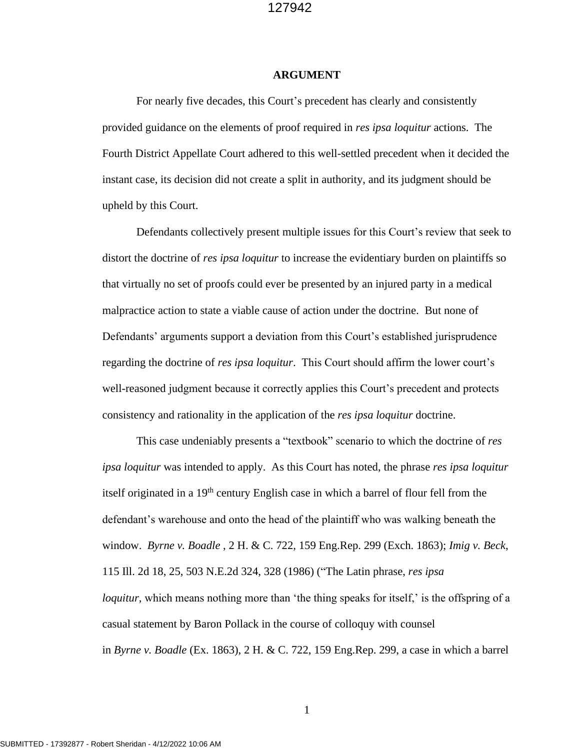#### **ARGUMENT**

For nearly five decades, this Court's precedent has clearly and consistently provided guidance on the elements of proof required in *res ipsa loquitur* actions. The Fourth District Appellate Court adhered to this well-settled precedent when it decided the instant case, its decision did not create a split in authority, and its judgment should be upheld by this Court.

Defendants collectively present multiple issues for this Court's review that seek to distort the doctrine of *res ipsa loquitur* to increase the evidentiary burden on plaintiffs so that virtually no set of proofs could ever be presented by an injured party in a medical malpractice action to state a viable cause of action under the doctrine. But none of Defendants' arguments support a deviation from this Court's established jurisprudence regarding the doctrine of *res ipsa loquitur*. This Court should affirm the lower court's well-reasoned judgment because it correctly applies this Court's precedent and protects consistency and rationality in the application of the *res ipsa loquitur* doctrine.

This case undeniably presents a "textbook" scenario to which the doctrine of *res ipsa loquitur* was intended to apply. As this Court has noted, the phrase *res ipsa loquitur* itself originated in a 19<sup>th</sup> century English case in which a barrel of flour fell from the defendant's warehouse and onto the head of the plaintiff who was walking beneath the window. *Byrne v. Boadle* , 2 H. & C. 722, 159 Eng.Rep. 299 (Exch. 1863); *Imig v. Beck*, 115 Ill. 2d 18, 25, 503 N.E.2d 324, 328 (1986) ("The Latin phrase, *res ipsa loquitur*, which means nothing more than 'the thing speaks for itself,' is the offspring of a casual statement by Baron Pollack in the course of colloquy with counsel in *Byrne v. Boadle* (Ex. 1863), 2 H. & C. 722, 159 Eng.Rep. 299, a case in which a barrel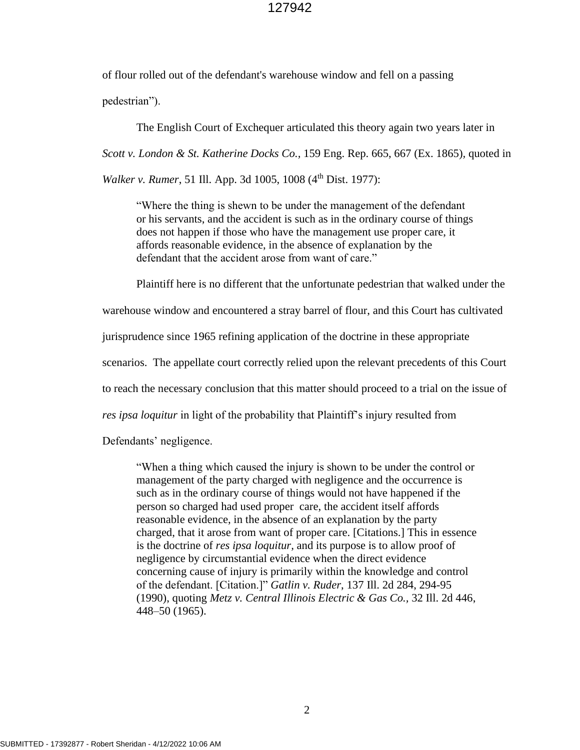of flour rolled out of the defendant's warehouse window and fell on a passing pedestrian").

The English Court of Exchequer articulated this theory again two years later in *Scott v. London & St. Katherine Docks Co.,* 159 Eng. Rep. 665, 667 (Ex. 1865)*,* quoted in *Walker v. Rumer*, 51 Ill. App. 3d 1005, 1008 (4<sup>th</sup> Dist. 1977):

"Where the thing is shewn to be under the management of the defendant or his servants, and the accident is such as in the ordinary course of things does not happen if those who have the management use proper care, it affords reasonable evidence, in the absence of explanation by the defendant that the accident arose from want of care."

Plaintiff here is no different that the unfortunate pedestrian that walked under the

warehouse window and encountered a stray barrel of flour, and this Court has cultivated

jurisprudence since 1965 refining application of the doctrine in these appropriate

scenarios. The appellate court correctly relied upon the relevant precedents of this Court

to reach the necessary conclusion that this matter should proceed to a trial on the issue of

*res ipsa loquitur* in light of the probability that Plaintiff's injury resulted from

Defendants' negligence.

"When a thing which caused the injury is shown to be under the control or management of the party charged with negligence and the occurrence is such as in the ordinary course of things would not have happened if the person so charged had used proper care, the accident itself affords reasonable evidence, in the absence of an explanation by the party charged, that it arose from want of proper care. [Citations.] This in essence is the doctrine of *res ipsa loquitur,* and its purpose is to allow proof of negligence by circumstantial evidence when the direct evidence concerning cause of injury is primarily within the knowledge and control of the defendant. [Citation.]" *Gatlin v. Ruder*, 137 Ill. 2d 284, 294-95 (1990), quoting *Metz v. Central Illinois Electric & Gas Co.,* 32 Ill. 2d 446, 448–50 (1965).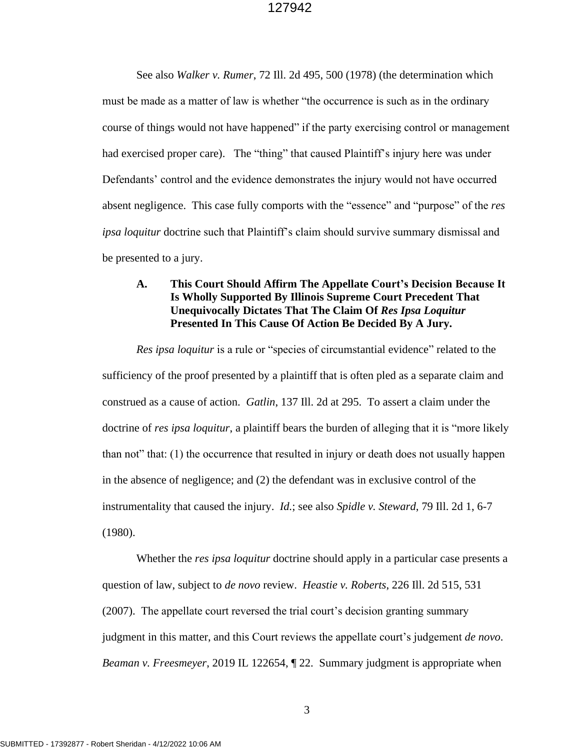See also *Walker v. Rumer*, 72 Ill. 2d 495, 500 (1978) (the determination which must be made as a matter of law is whether "the occurrence is such as in the ordinary course of things would not have happened" if the party exercising control or management had exercised proper care). The "thing" that caused Plaintiff's injury here was under Defendants' control and the evidence demonstrates the injury would not have occurred absent negligence. This case fully comports with the "essence" and "purpose" of the *res ipsa loquitur* doctrine such that Plaintiff's claim should survive summary dismissal and be presented to a jury.

# **A. This Court Should Affirm The Appellate Court's Decision Because It Is Wholly Supported By Illinois Supreme Court Precedent That Unequivocally Dictates That The Claim Of** *Res Ipsa Loquitur* **Presented In This Cause Of Action Be Decided By A Jury.**

*Res ipsa loquitur* is a rule or "species of circumstantial evidence" related to the sufficiency of the proof presented by a plaintiff that is often pled as a separate claim and construed as a cause of action. *Gatlin*, 137 Ill. 2d at 295. To assert a claim under the doctrine of *res ipsa loquitur*, a plaintiff bears the burden of alleging that it is "more likely than not" that: (1) the occurrence that resulted in injury or death does not usually happen in the absence of negligence; and (2) the defendant was in exclusive control of the instrumentality that caused the injury. *Id.*; see also *Spidle v. Steward*, 79 Ill. 2d 1, 6-7 (1980).

Whether the *res ipsa loquitur* doctrine should apply in a particular case presents a question of law, subject to *de novo* review. *Heastie v. Roberts*, 226 Ill. 2d 515, 531 (2007). The appellate court reversed the trial court's decision granting summary judgment in this matter, and this Court reviews the appellate court's judgement *de novo*. *Beaman v. Freesmeyer*, 2019 IL 122654, ¶ 22. Summary judgment is appropriate when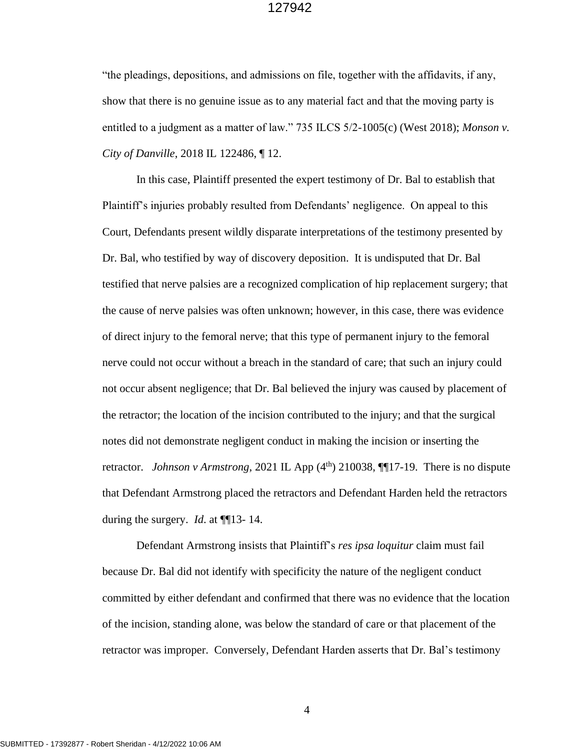"the pleadings, depositions, and admissions on file, together with the affidavits, if any, show that there is no genuine issue as to any material fact and that the moving party is entitled to a judgment as a matter of law." 735 ILCS 5/2-1005(c) (West 2018); *Monson v. City of Danville*, 2018 IL 122486, ¶ 12.

In this case, Plaintiff presented the expert testimony of Dr. Bal to establish that Plaintiff's injuries probably resulted from Defendants' negligence. On appeal to this Court, Defendants present wildly disparate interpretations of the testimony presented by Dr. Bal, who testified by way of discovery deposition. It is undisputed that Dr. Bal testified that nerve palsies are a recognized complication of hip replacement surgery; that the cause of nerve palsies was often unknown; however, in this case, there was evidence of direct injury to the femoral nerve; that this type of permanent injury to the femoral nerve could not occur without a breach in the standard of care; that such an injury could not occur absent negligence; that Dr. Bal believed the injury was caused by placement of the retractor; the location of the incision contributed to the injury; and that the surgical notes did not demonstrate negligent conduct in making the incision or inserting the retractor. *Johnson v Armstrong*, 2021 IL App  $(4<sup>th</sup>)$  210038,  $\P\P$ 17-19. There is no dispute that Defendant Armstrong placed the retractors and Defendant Harden held the retractors during the surgery. *Id*. at ¶¶13- 14.

Defendant Armstrong insists that Plaintiff's *res ipsa loquitur* claim must fail because Dr. Bal did not identify with specificity the nature of the negligent conduct committed by either defendant and confirmed that there was no evidence that the location of the incision, standing alone, was below the standard of care or that placement of the retractor was improper. Conversely, Defendant Harden asserts that Dr. Bal's testimony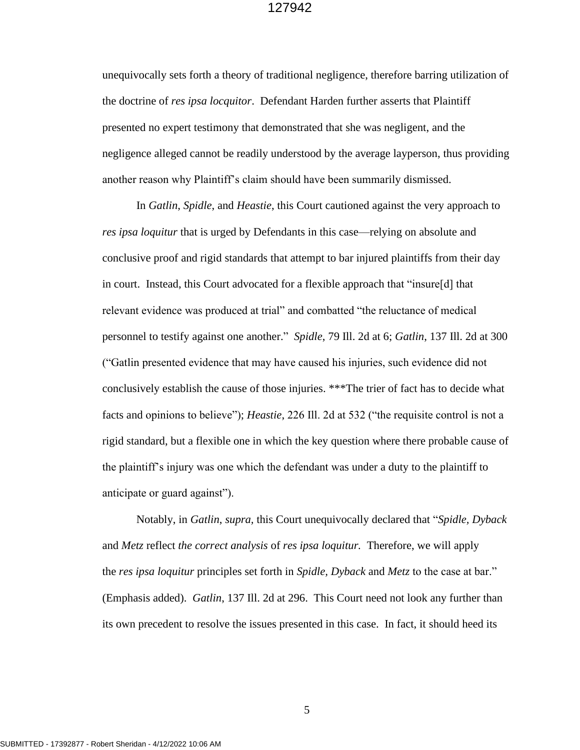unequivocally sets forth a theory of traditional negligence, therefore barring utilization of the doctrine of *res ipsa locquitor*. Defendant Harden further asserts that Plaintiff presented no expert testimony that demonstrated that she was negligent, and the negligence alleged cannot be readily understood by the average layperson, thus providing another reason why Plaintiff's claim should have been summarily dismissed.

In *Gatlin*, *Spidle*, and *Heastie*, this Court cautioned against the very approach to *res ipsa loquitur* that is urged by Defendants in this case—relying on absolute and conclusive proof and rigid standards that attempt to bar injured plaintiffs from their day in court. Instead, this Court advocated for a flexible approach that "insure[d] that relevant evidence was produced at trial" and combatted "the reluctance of medical personnel to testify against one another." *Spidle*, 79 Ill. 2d at 6; *Gatlin*, 137 Ill. 2d at 300 ("Gatlin presented evidence that may have caused his injuries, such evidence did not conclusively establish the cause of those injuries. \*\*\*The trier of fact has to decide what facts and opinions to believe"); *Heastie*, 226 Ill. 2d at 532 ("the requisite control is not a rigid standard, but a flexible one in which the key question where there probable cause of the plaintiff's injury was one which the defendant was under a duty to the plaintiff to anticipate or guard against").

Notably, in *Gatlin*, *supra,* this Court unequivocally declared that "*Spidle, Dyback*  and *Metz* reflect *the correct analysis* of *res ipsa loquitur.* Therefore, we will apply the *res ipsa loquitur* principles set forth in *Spidle, Dyback* and *Metz* to the case at bar." (Emphasis added). *Gatlin*, 137 Ill. 2d at 296. This Court need not look any further than its own precedent to resolve the issues presented in this case. In fact, it should heed its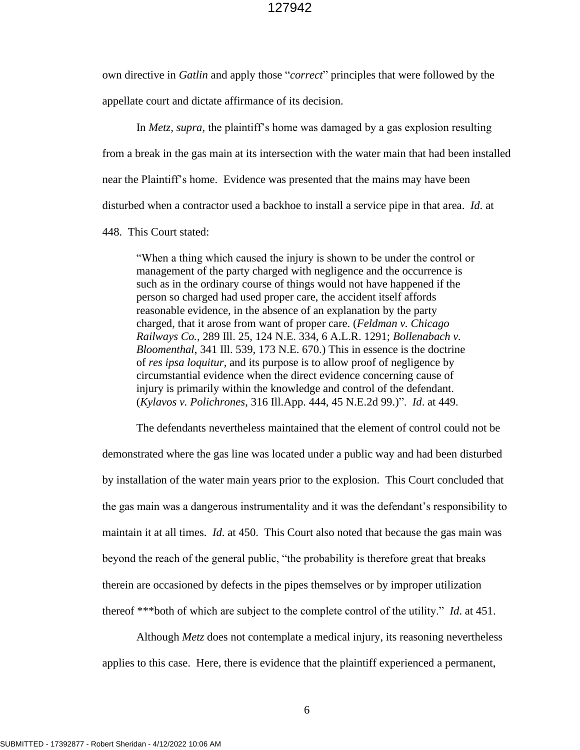own directive in *Gatlin* and apply those "*correct*" principles that were followed by the appellate court and dictate affirmance of its decision.

In *Metz*, *supra*, the plaintiff's home was damaged by a gas explosion resulting from a break in the gas main at its intersection with the water main that had been installed near the Plaintiff's home. Evidence was presented that the mains may have been disturbed when a contractor used a backhoe to install a service pipe in that area. *Id*. at

448. This Court stated:

"When a thing which caused the injury is shown to be under the control or management of the party charged with negligence and the occurrence is such as in the ordinary course of things would not have happened if the person so charged had used proper care, the accident itself affords reasonable evidence, in the absence of an explanation by the party charged, that it arose from want of proper care. (*[Feldman v. Chicago](http://www.westlaw.com/Link/Document/FullText?findType=Y&serNum=1919103620&pubNum=104&originatingDoc=Ib18b784fd93211d9bf60c1d57ebc853e&refType=RP&originationContext=document&vr=3.0&rs=cblt1.0&transitionType=DocumentItem&contextData=(sc.UserEnteredCitation))  Railways Co.*[, 289 Ill. 25, 124 N.E. 334, 6 A.L.R. 1291;](http://www.westlaw.com/Link/Document/FullText?findType=Y&serNum=1919103620&pubNum=104&originatingDoc=Ib18b784fd93211d9bf60c1d57ebc853e&refType=RP&originationContext=document&vr=3.0&rs=cblt1.0&transitionType=DocumentItem&contextData=(sc.UserEnteredCitation)) *[Bollenabach v.](http://www.westlaw.com/Link/Document/FullText?findType=Y&serNum=1931114042&pubNum=577&originatingDoc=Ib18b784fd93211d9bf60c1d57ebc853e&refType=RP&originationContext=document&vr=3.0&rs=cblt1.0&transitionType=DocumentItem&contextData=(sc.UserEnteredCitation))  Bloomenthal*[, 341 Ill. 539, 173 N.E. 670.\)](http://www.westlaw.com/Link/Document/FullText?findType=Y&serNum=1931114042&pubNum=577&originatingDoc=Ib18b784fd93211d9bf60c1d57ebc853e&refType=RP&originationContext=document&vr=3.0&rs=cblt1.0&transitionType=DocumentItem&contextData=(sc.UserEnteredCitation)) This in essence is the doctrine of *res ipsa loquitur*, and its purpose is to allow proof of negligence by circumstantial evidence when the direct evidence concerning cause of injury is primarily within the knowledge and control of the defendant. (*Kylavos v. Polichrones*[, 316 Ill.App. 444, 45 N.E.2d 99.\)"](http://www.westlaw.com/Link/Document/FullText?findType=Y&serNum=1942111157&pubNum=578&originatingDoc=Ib18b784fd93211d9bf60c1d57ebc853e&refType=RP&originationContext=document&vr=3.0&rs=cblt1.0&transitionType=DocumentItem&contextData=(sc.UserEnteredCitation)). *Id*. at 449.

The defendants nevertheless maintained that the element of control could not be demonstrated where the gas line was located under a public way and had been disturbed by installation of the water main years prior to the explosion. This Court concluded that the gas main was a dangerous instrumentality and it was the defendant's responsibility to maintain it at all times. *Id*. at 450. This Court also noted that because the gas main was beyond the reach of the general public, "the probability is therefore great that breaks therein are occasioned by defects in the pipes themselves or by improper utilization thereof \*\*\*both of which are subject to the complete control of the utility." *Id*. at 451.

Although *Metz* does not contemplate a medical injury, its reasoning nevertheless applies to this case. Here, there is evidence that the plaintiff experienced a permanent,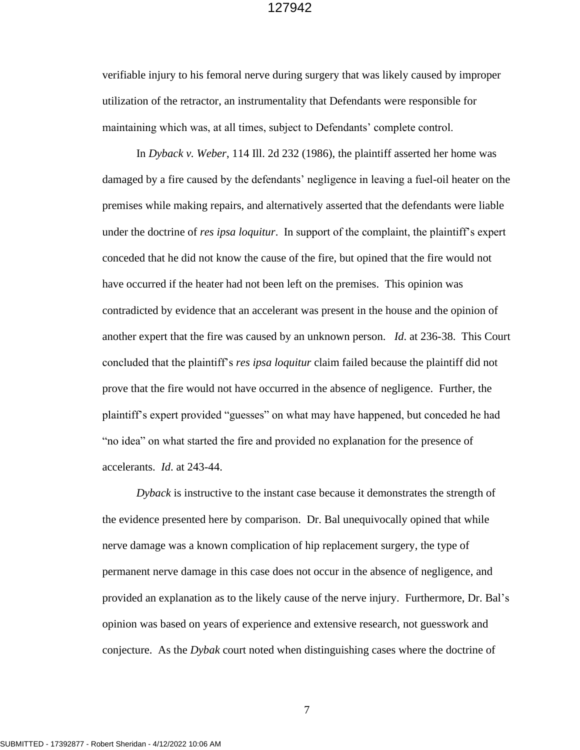verifiable injury to his femoral nerve during surgery that was likely caused by improper utilization of the retractor, an instrumentality that Defendants were responsible for maintaining which was, at all times, subject to Defendants' complete control.

In *Dyback v. Weber*, 114 Ill. 2d 232 (1986), the plaintiff asserted her home was damaged by a fire caused by the defendants' negligence in leaving a fuel-oil heater on the premises while making repairs, and alternatively asserted that the defendants were liable under the doctrine of *res ipsa loquitur*. In support of the complaint, the plaintiff's expert conceded that he did not know the cause of the fire, but opined that the fire would not have occurred if the heater had not been left on the premises. This opinion was contradicted by evidence that an accelerant was present in the house and the opinion of another expert that the fire was caused by an unknown person. *Id*. at 236-38. This Court concluded that the plaintiff's *res ipsa loquitur* claim failed because the plaintiff did not prove that the fire would not have occurred in the absence of negligence. Further, the plaintiff's expert provided "guesses" on what may have happened, but conceded he had "no idea" on what started the fire and provided no explanation for the presence of accelerants. *Id*. at 243-44.

*Dyback* is instructive to the instant case because it demonstrates the strength of the evidence presented here by comparison. Dr. Bal unequivocally opined that while nerve damage was a known complication of hip replacement surgery, the type of permanent nerve damage in this case does not occur in the absence of negligence, and provided an explanation as to the likely cause of the nerve injury. Furthermore, Dr. Bal's opinion was based on years of experience and extensive research, not guesswork and conjecture. As the *Dybak* court noted when distinguishing cases where the doctrine of

SUBMITTED - 17392877 - Robert Sheridan - 4/12/2022 10:06 AM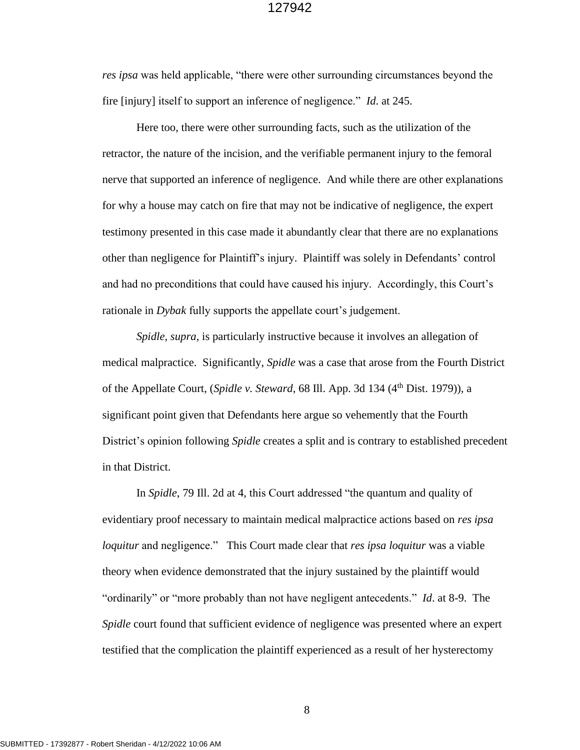*res ipsa* was held applicable, "there were other surrounding circumstances beyond the fire [injury] itself to support an inference of negligence." *Id*. at 245.

Here too, there were other surrounding facts, such as the utilization of the retractor, the nature of the incision, and the verifiable permanent injury to the femoral nerve that supported an inference of negligence. And while there are other explanations for why a house may catch on fire that may not be indicative of negligence, the expert testimony presented in this case made it abundantly clear that there are no explanations other than negligence for Plaintiff's injury. Plaintiff was solely in Defendants' control and had no preconditions that could have caused his injury. Accordingly, this Court's rationale in *Dybak* fully supports the appellate court's judgement.

*Spidle*, *supra*, is particularly instructive because it involves an allegation of medical malpractice. Significantly, *Spidle* was a case that arose from the Fourth District of the Appellate Court, (*Spidle v. Steward*, 68 Ill. App. 3d 134 (4<sup>th</sup> Dist. 1979)), a significant point given that Defendants here argue so vehemently that the Fourth District's opinion following *Spidle* creates a split and is contrary to established precedent in that District.

In *Spidle*, 79 Ill. 2d at 4, this Court addressed "the quantum and quality of evidentiary proof necessary to maintain medical malpractice actions based on *res ipsa loquitur* and negligence." This Court made clear that *res ipsa loquitur* was a viable theory when evidence demonstrated that the injury sustained by the plaintiff would "ordinarily" or "more probably than not have negligent antecedents." *Id*. at 8-9. The *Spidle* court found that sufficient evidence of negligence was presented where an expert testified that the complication the plaintiff experienced as a result of her hysterectomy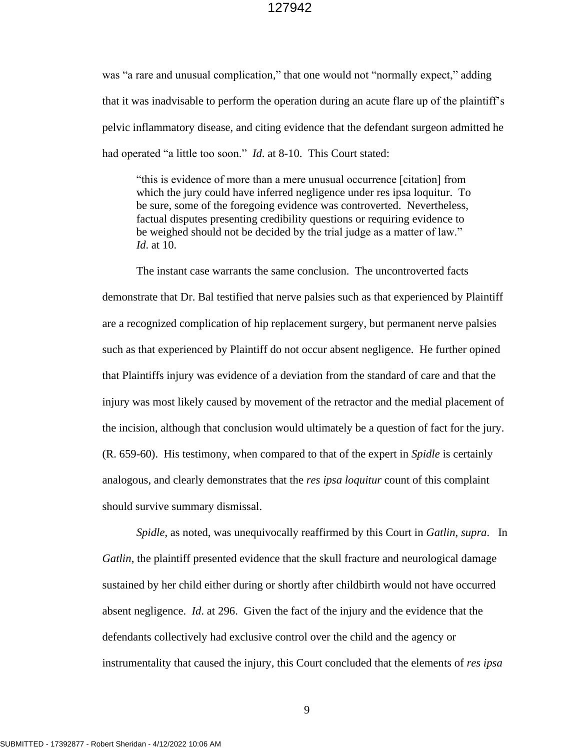was "a rare and unusual complication," that one would not "normally expect," adding that it was inadvisable to perform the operation during an acute flare up of the plaintiff's pelvic inflammatory disease, and citing evidence that the defendant surgeon admitted he had operated "a little too soon." *Id*. at 8-10. This Court stated:

"this is evidence of more than a mere unusual occurrence [citation] from which the jury could have inferred negligence under res ipsa loquitur. To be sure, some of the foregoing evidence was controverted. Nevertheless, factual disputes presenting credibility questions or requiring evidence to be weighed should not be decided by the trial judge as a matter of law." *Id*. at 10.

The instant case warrants the same conclusion. The uncontroverted facts demonstrate that Dr. Bal testified that nerve palsies such as that experienced by Plaintiff are a recognized complication of hip replacement surgery, but permanent nerve palsies such as that experienced by Plaintiff do not occur absent negligence. He further opined that Plaintiffs injury was evidence of a deviation from the standard of care and that the injury was most likely caused by movement of the retractor and the medial placement of the incision, although that conclusion would ultimately be a question of fact for the jury. (R. 659-60). His testimony, when compared to that of the expert in *Spidle* is certainly analogous, and clearly demonstrates that the *res ipsa loquitur* count of this complaint should survive summary dismissal.

*Spidle*, as noted, was unequivocally reaffirmed by this Court in *Gatlin*, *supra*. In *Gatlin*, the plaintiff presented evidence that the skull fracture and neurological damage sustained by her child either during or shortly after childbirth would not have occurred absent negligence. *Id*. at 296. Given the fact of the injury and the evidence that the defendants collectively had exclusive control over the child and the agency or instrumentality that caused the injury, this Court concluded that the elements of *res ipsa*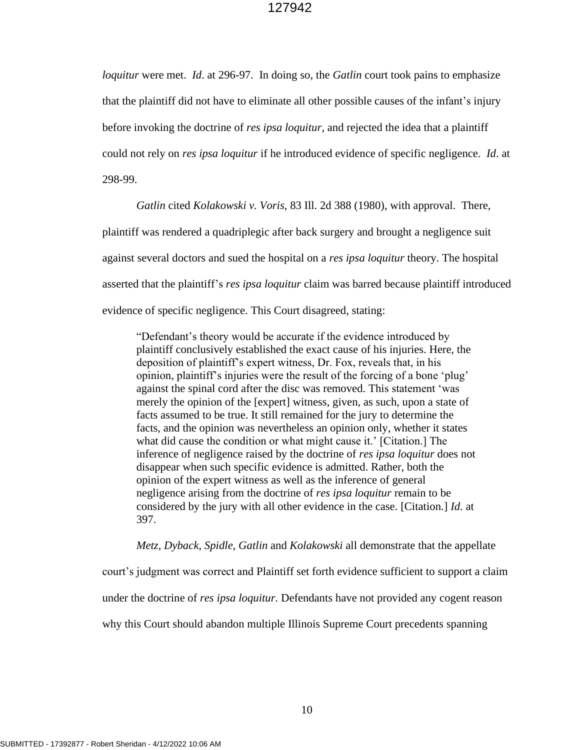*loquitur* were met. *Id*. at 296-97. In doing so, the *Gatlin* court took pains to emphasize that the plaintiff did not have to eliminate all other possible causes of the infant's injury before invoking the doctrine of *res ipsa loquitur*, and rejected the idea that a plaintiff could not rely on *res ipsa loquitur* if he introduced evidence of specific negligence. *Id*. at 298-99.

*Gatlin* cited *Kolakowski v. Voris*, 83 Ill. [2d 388 \(1980\), with approval. There,](http://www.westlaw.com/Link/Document/FullText?findType=Y&serNum=1980151582&pubNum=578&originatingDoc=I9bea09f8d45711d98ac8f235252e36df&refType=RP&originationContext=document&vr=3.0&rs=cblt1.0&transitionType=DocumentItem&contextData=(sc.UserEnteredCitation))

plaintiff was rendered a quadriplegic after back surgery and brought a negligence suit

against several doctors and sued the hospital on a *res ipsa loquitur* theory. The hospital

asserted that the plaintiff's *res ipsa loquitur* claim was barred because plaintiff introduced

evidence of specific negligence. This Court disagreed, stating:

"Defendant's theory would be accurate if the evidence introduced by plaintiff conclusively established the exact cause of his injuries. Here, the deposition of plaintiff's expert witness, Dr. Fox, reveals that, in his opinion, plaintiff's injuries were the result of the forcing of a bone 'plug' against the spinal cord after the disc was removed. This statement 'was merely the opinion of the [expert] witness, given, as such, upon a state of facts assumed to be true. It still remained for the jury to determine the facts, and the opinion was nevertheless an opinion only, whether it states what did cause the condition or what might cause it.' [Citation.] The inference of negligence raised by the doctrine of *res ipsa loquitur* does not disappear when such specific evidence is admitted. Rather, both the opinion of the expert witness as well as the inference of general negligence arising from the doctrine of *res ipsa loquitur* remain to be considered by the jury with all other evidence in the case. [Citation.] *Id*. at 397.

*Metz*, *Dyback*, *Spidle*, *Gatlin* and *Kolakowski* all demonstrate that the appellate

court's judgment was correct and Plaintiff set forth evidence sufficient to support a claim

under the doctrine of *res ipsa loquitur.* Defendants have not provided any cogent reason

why this Court should abandon multiple Illinois Supreme Court precedents spanning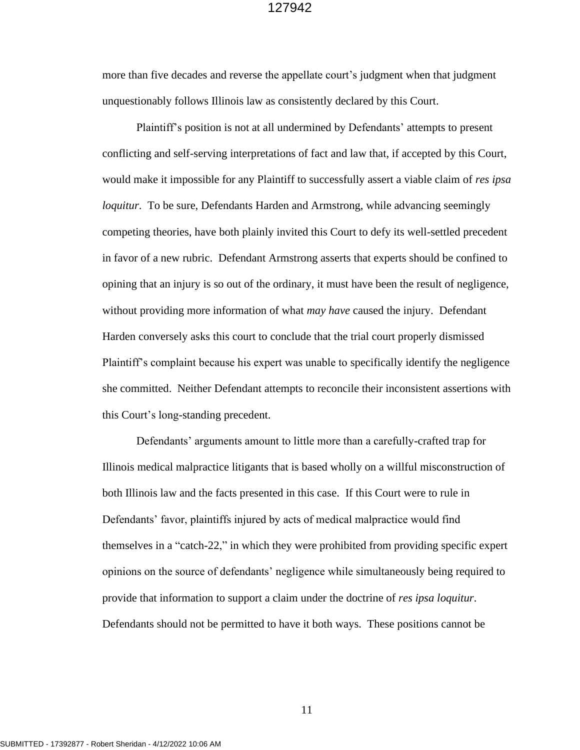more than five decades and reverse the appellate court's judgment when that judgment unquestionably follows Illinois law as consistently declared by this Court.

Plaintiff's position is not at all undermined by Defendants' attempts to present conflicting and self-serving interpretations of fact and law that, if accepted by this Court, would make it impossible for any Plaintiff to successfully assert a viable claim of *res ipsa loquitur*. To be sure, Defendants Harden and Armstrong, while advancing seemingly competing theories, have both plainly invited this Court to defy its well-settled precedent in favor of a new rubric. Defendant Armstrong asserts that experts should be confined to opining that an injury is so out of the ordinary, it must have been the result of negligence, without providing more information of what *may have* caused the injury. Defendant Harden conversely asks this court to conclude that the trial court properly dismissed Plaintiff's complaint because his expert was unable to specifically identify the negligence she committed. Neither Defendant attempts to reconcile their inconsistent assertions with this Court's long-standing precedent.

Defendants' arguments amount to little more than a carefully-crafted trap for Illinois medical malpractice litigants that is based wholly on a willful misconstruction of both Illinois law and the facts presented in this case. If this Court were to rule in Defendants' favor, plaintiffs injured by acts of medical malpractice would find themselves in a "catch-22," in which they were prohibited from providing specific expert opinions on the source of defendants' negligence while simultaneously being required to provide that information to support a claim under the doctrine of *res ipsa loquitur*. Defendants should not be permitted to have it both ways. These positions cannot be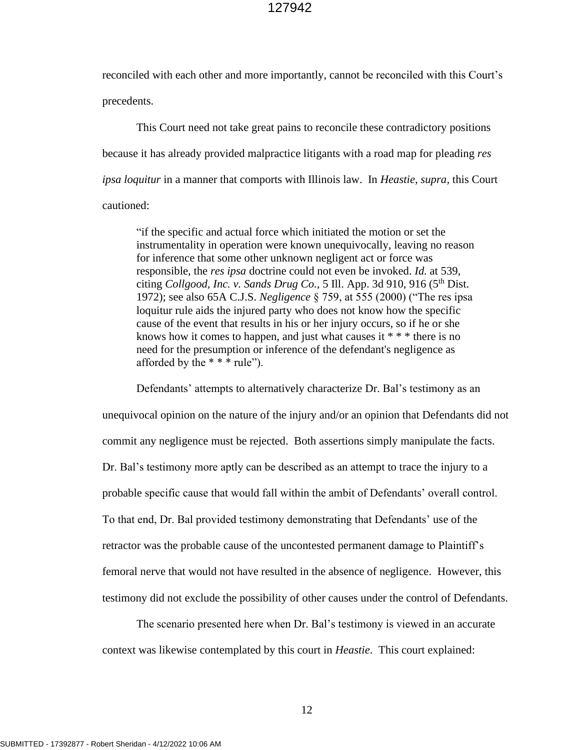reconciled with each other and more importantly, cannot be reconciled with this Court's precedents.

This Court need not take great pains to reconcile these contradictory positions because it has already provided malpractice litigants with a road map for pleading *res ipsa loquitur* in a manner that comports with Illinois law. In *Heastie*, *supra,* this Court cautioned:

"if the specific and actual force which initiated the motion or set the instrumentality in operation were known unequivocally, leaving no reason for inference that some other unknown negligent act or force was responsible, the *res ipsa* doctrine could not even be invoked. *Id.* at 539, citing *Collgood, Inc. v. Sands Drug Co.,* 5 Ill. App. 3d 910, 916 (5 th Dist. 1972); see also 65A C.J.S. *Negligence* § 759, at 555 (2000) ("The res ipsa loquitur rule aids the injured party who does not know how the specific cause of the event that results in his or her injury occurs, so if he or she knows how it comes to happen, and just what causes it  $***$  there is no need for the presumption or inference of the defendant's negligence as afforded by the  $* * * rule$ ").

Defendants' attempts to alternatively characterize Dr. Bal's testimony as an unequivocal opinion on the nature of the injury and/or an opinion that Defendants did not commit any negligence must be rejected. Both assertions simply manipulate the facts. Dr. Bal's testimony more aptly can be described as an attempt to trace the injury to a probable specific cause that would fall within the ambit of Defendants' overall control. To that end, Dr. Bal provided testimony demonstrating that Defendants' use of the retractor was the probable cause of the uncontested permanent damage to Plaintiff's femoral nerve that would not have resulted in the absence of negligence. However, this testimony did not exclude the possibility of other causes under the control of Defendants.

The scenario presented here when Dr. Bal's testimony is viewed in an accurate context was likewise contemplated by this court in *Heastie*. This court explained: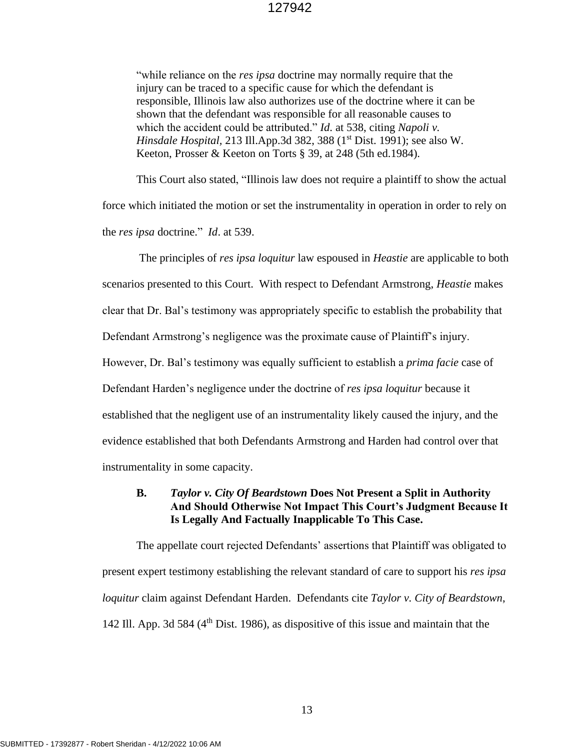"while reliance on the *res ipsa* doctrine may normally require that the injury can be traced to a specific cause for which the defendant is responsible, Illinois law also authorizes use of the doctrine where it can be shown that the defendant was responsible for all reasonable causes to which the accident could be attributed." *Id*. at 538, citing *Napoli v. Hinsdale Hospital,* 213 Ill.App.3d 382, 388 (1<sup>st</sup> Dist. 1991); see also W. Keeton, Prosser & Keeton on Torts § 39, at 248 (5th ed.1984).

This Court also stated, "Illinois law does not require a plaintiff to show the actual force which initiated the motion or set the instrumentality in operation in order to rely on the *res ipsa* doctrine." *Id*. at 539.

The principles of *res ipsa loquitur* law espoused in *Heastie* are applicable to both scenarios presented to this Court. With respect to Defendant Armstrong, *Heastie* makes clear that Dr. Bal's testimony was appropriately specific to establish the probability that Defendant Armstrong's negligence was the proximate cause of Plaintiff's injury. However, Dr. Bal's testimony was equally sufficient to establish a *prima facie* case of Defendant Harden's negligence under the doctrine of *res ipsa loquitur* because it established that the negligent use of an instrumentality likely caused the injury, and the evidence established that both Defendants Armstrong and Harden had control over that instrumentality in some capacity.

# **B.** *Taylor v. City Of Beardstown* **Does Not Present a Split in Authority And Should Otherwise Not Impact This Court's Judgment Because It Is Legally And Factually Inapplicable To This Case.**

The appellate court rejected Defendants' assertions that Plaintiff was obligated to present expert testimony establishing the relevant standard of care to support his *res ipsa loquitur* claim against Defendant Harden. Defendants cite *Taylor v. City of Beardstown*, 142 Ill. App. 3d 584 ( $4<sup>th</sup>$  Dist. 1986), as dispositive of this issue and maintain that the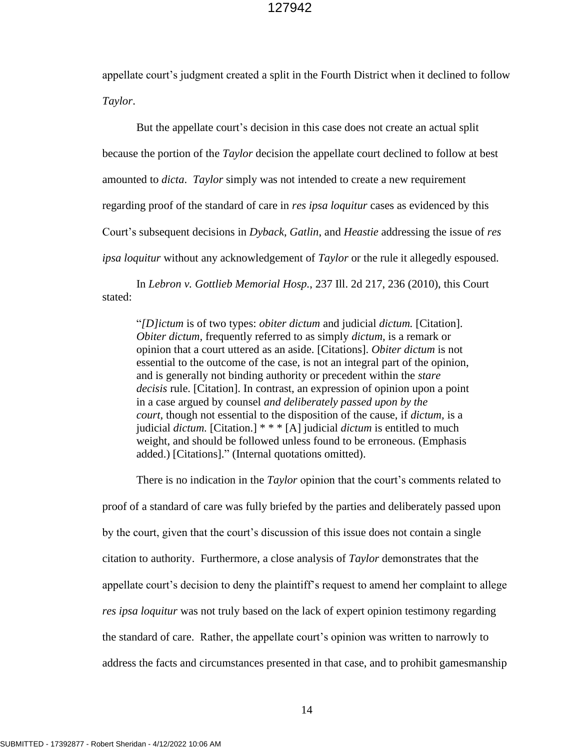appellate court's judgment created a split in the Fourth District when it declined to follow *Taylor*.

But the appellate court's decision in this case does not create an actual split because the portion of the *Taylor* decision the appellate court declined to follow at best amounted to *dicta*. *Taylor* simply was not intended to create a new requirement regarding proof of the standard of care in *res ipsa loquitur* cases as evidenced by this Court's subsequent decisions in *Dyback*, *Gatlin*, and *Heastie* addressing the issue of *res ipsa loquitur* without any acknowledgement of *Taylor* or the rule it allegedly espoused.

In *Lebron v. Gottlieb Memorial Hosp.*, 237 Ill. 2d 217, 236 (2010), this Court stated:

"*[D]ictum* is of two types: *obiter dictum* and judicial *dictum.* [Citation]. *Obiter dictum,* frequently referred to as simply *dictum,* is a remark or opinion that a court uttered as an aside. [Citations]. *Obiter dictum* is not essential to the outcome of the case, is not an integral part of the opinion, and is generally not binding authority or precedent within the *stare decisis* rule. [Citation]. In contrast, an expression of opinion upon a point in a case argued by counsel *and deliberately passed upon by the court,* though not essential to the disposition of the cause, if *dictum,* is a judicial *dictum.* [Citation.] \* \* \* [A] judicial *dictum* is entitled to much weight, and should be followed unless found to be erroneous. (Emphasis added.) [Citations]." (Internal quotations omitted).

There is no indication in the *Taylor* opinion that the court's comments related to proof of a standard of care was fully briefed by the parties and deliberately passed upon by the court, given that the court's discussion of this issue does not contain a single citation to authority. Furthermore, a close analysis of *Taylor* demonstrates that the appellate court's decision to deny the plaintiff's request to amend her complaint to allege *res ipsa loquitur* was not truly based on the lack of expert opinion testimony regarding the standard of care. Rather, the appellate court's opinion was written to narrowly to address the facts and circumstances presented in that case, and to prohibit gamesmanship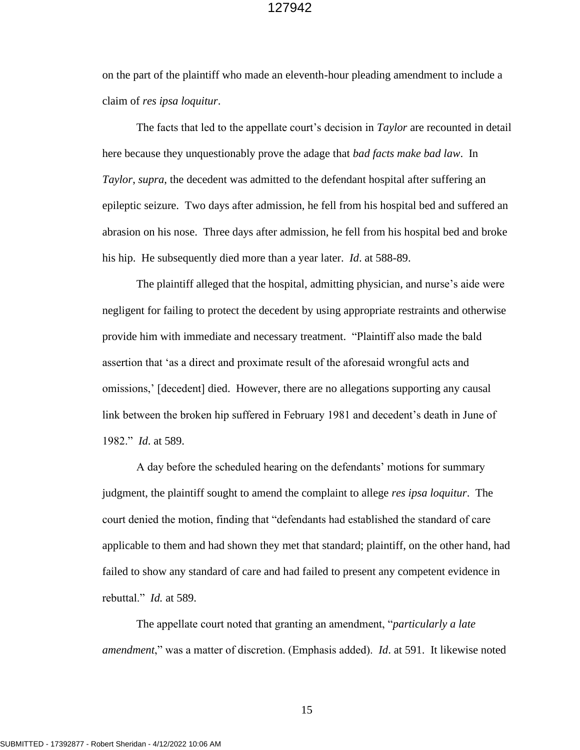on the part of the plaintiff who made an eleventh-hour pleading amendment to include a claim of *res ipsa loquitur*.

The facts that led to the appellate court's decision in *Taylor* are recounted in detail here because they unquestionably prove the adage that *bad facts make bad law*. In *Taylor*, *supra*, the decedent was admitted to the defendant hospital after suffering an epileptic seizure. Two days after admission, he fell from his hospital bed and suffered an abrasion on his nose. Three days after admission, he fell from his hospital bed and broke his hip. He subsequently died more than a year later. *Id*. at 588-89.

The plaintiff alleged that the hospital, admitting physician, and nurse's aide were negligent for failing to protect the decedent by using appropriate restraints and otherwise provide him with immediate and necessary treatment. "Plaintiff also made the bald assertion that 'as a direct and proximate result of the aforesaid wrongful acts and omissions,' [decedent] died. However, there are no allegations supporting any causal link between the broken hip suffered in February 1981 and decedent's death in June of 1982." *Id*. at 589.

A day before the scheduled hearing on the defendants' motions for summary judgment, the plaintiff sought to amend the complaint to allege *res ipsa loquitur*. The court denied the motion, finding that "defendants had established the standard of care applicable to them and had shown they met that standard; plaintiff, on the other hand, had failed to show any standard of care and had failed to present any competent evidence in rebuttal." *Id.* at 589.

The appellate court noted that granting an amendment, "*particularly a late amendment*," was a matter of discretion. (Emphasis added). *Id*. at 591. It likewise noted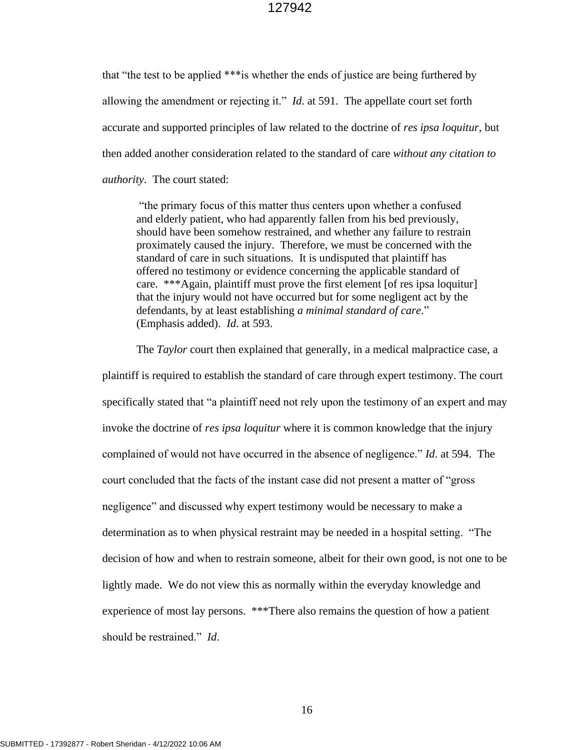that "the test to be applied \*\*\*is whether the ends of justice are being furthered by allowing the amendment or rejecting it." *Id*. at 591. The appellate court set forth accurate and supported principles of law related to the doctrine of *res ipsa loquitur*, but then added another consideration related to the standard of care *without any citation to authority*. The court stated:

"the primary focus of this matter thus centers upon whether a confused and elderly patient, who had apparently fallen from his bed previously, should have been somehow restrained, and whether any failure to restrain proximately caused the injury. Therefore, we must be concerned with the standard of care in such situations. It is undisputed that plaintiff has offered no testimony or evidence concerning the applicable standard of care. \*\*\*Again, plaintiff must prove the first element [of res ipsa loquitur] that the injury would not have occurred but for some negligent act by the defendants, by at least establishing *a minimal standard of care*." (Emphasis added). *Id*. at 593.

The *Taylor* court then explained that generally, in a medical malpractice case, a plaintiff is required to establish the standard of care through expert testimony. The court specifically stated that "a plaintiff need not rely upon the testimony of an expert and may invoke the doctrine of *res ipsa loquitur* where it is common knowledge that the injury complained of would not have occurred in the absence of negligence." *Id*. at 594. The court concluded that the facts of the instant case did not present a matter of "gross negligence" and discussed why expert testimony would be necessary to make a determination as to when physical restraint may be needed in a hospital setting. "The decision of how and when to restrain someone, albeit for their own good, is not one to be lightly made. We do not view this as normally within the everyday knowledge and experience of most lay persons. \*\*\*There also remains the question of how a patient should be restrained." *Id*.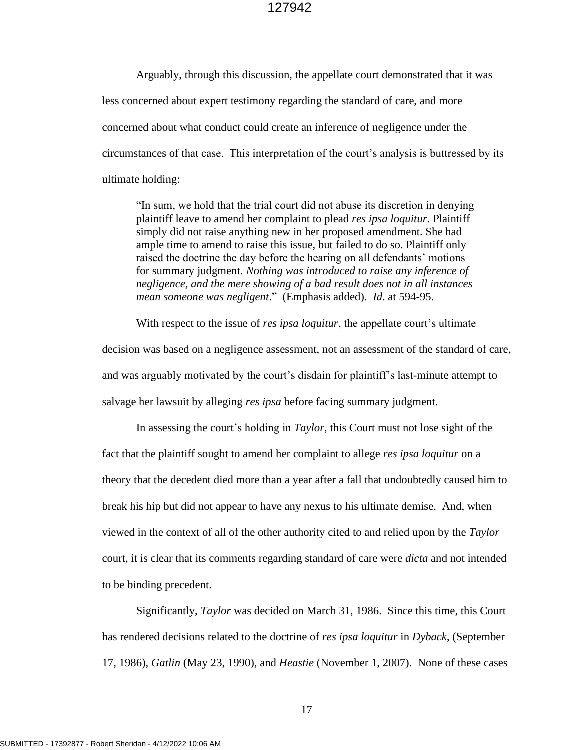Arguably, through this discussion, the appellate court demonstrated that it was less concerned about expert testimony regarding the standard of care, and more concerned about what conduct could create an inference of negligence under the circumstances of that case. This interpretation of the court's analysis is buttressed by its ultimate holding:

"In sum, we hold that the trial court did not abuse its discretion in denying plaintiff leave to amend her complaint to plead *res ipsa loquitur.* Plaintiff simply did not raise anything new in her proposed amendment. She had ample time to amend to raise this issue, but failed to do so. Plaintiff only raised the doctrine the day before the hearing on all defendants' motions for summary judgment. *Nothing was introduced to raise any inference of negligence, and the mere showing of a bad result does not in all instances mean someone was negligent*." (Emphasis added). *Id*. at 594-95.

With respect to the issue of *res ipsa loquitur*, the appellate court's ultimate decision was based on a negligence assessment, not an assessment of the standard of care, and was arguably motivated by the court's disdain for plaintiff's last-minute attempt to salvage her lawsuit by alleging *res ipsa* before facing summary judgment.

In assessing the court's holding in *Taylor*, this Court must not lose sight of the fact that the plaintiff sought to amend her complaint to allege *res ipsa loquitur* on a theory that the decedent died more than a year after a fall that undoubtedly caused him to break his hip but did not appear to have any nexus to his ultimate demise. And, when viewed in the context of all of the other authority cited to and relied upon by the *Taylor* court, it is clear that its comments regarding standard of care were *dicta* and not intended to be binding precedent.

Significantly, *Taylor* was decided on March 31, 1986. Since this time, this Court has rendered decisions related to the doctrine of *res ipsa loquitur* in *Dyback*, (September 17, 1986), *Gatlin* (May 23, 1990), and *Heastie* (November 1, 2007). None of these cases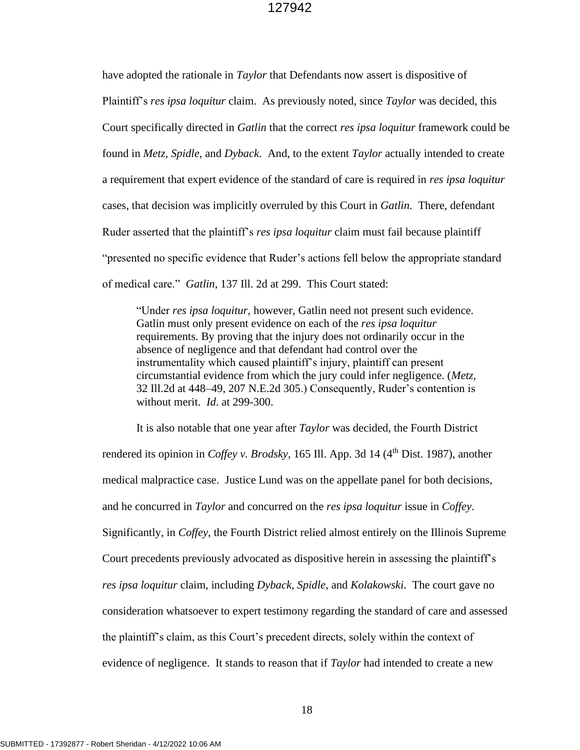have adopted the rationale in *Taylor* that Defendants now assert is dispositive of Plaintiff's *res ipsa loquitur* claim. As previously noted, since *Taylor* was decided, this Court specifically directed in *Gatlin* that the correct *res ipsa loquitur* framework could be found in *Metz*, *Spidle*, and *Dyback*. And, to the extent *Taylor* actually intended to create a requirement that expert evidence of the standard of care is required in *res ipsa loquitur* cases, that decision was implicitly overruled by this Court in *Gatlin*. There, defendant Ruder asserted that the plaintiff's *res ipsa loquitur* claim must fail because plaintiff "presented no specific evidence that Ruder's actions fell below the appropriate standard of medical care." *Gatlin*, 137 Ill. 2d at 299. This Court stated:

"Under *res ipsa loquitur,* however, Gatlin need not present such evidence. Gatlin must only present evidence on each of the *res ipsa loquitur* requirements. By proving that the injury does not ordinarily occur in the absence of negligence and that defendant had control over the instrumentality which caused plaintiff's injury, plaintiff can present circumstantial evidence from which the jury could infer negligence. (*[Metz,](http://www.westlaw.com/Link/Document/FullText?findType=Y&serNum=1965116509&pubNum=578&originatingDoc=I9bea09f8d45711d98ac8f235252e36df&refType=RP&originationContext=document&vr=3.0&rs=cblt1.0&transitionType=DocumentItem&contextData=(sc.UserEnteredCitation))* [32 Ill.2d at 448–49, 207 N.E.2d 305.](http://www.westlaw.com/Link/Document/FullText?findType=Y&serNum=1965116509&pubNum=578&originatingDoc=I9bea09f8d45711d98ac8f235252e36df&refType=RP&originationContext=document&vr=3.0&rs=cblt1.0&transitionType=DocumentItem&contextData=(sc.UserEnteredCitation))) Consequently, Ruder's contention is without merit. *Id*. at 299-300.

It is also notable that one year after *Taylor* was decided, the Fourth District rendered its opinion in *Coffey v. Brodsky*, 165 Ill. App. 3d 14 (4<sup>th</sup> Dist. 1987), another medical malpractice case. Justice Lund was on the appellate panel for both decisions, and he concurred in *Taylor* and concurred on the *res ipsa loquitur* issue in *Coffey*. Significantly, in *Coffey*, the Fourth District relied almost entirely on the Illinois Supreme Court precedents previously advocated as dispositive herein in assessing the plaintiff's *res ipsa loquitur* claim, including *Dyback*, *Spidle*, and *Kolakowski*. The court gave no consideration whatsoever to expert testimony regarding the standard of care and assessed the plaintiff's claim, as this Court's precedent directs, solely within the context of evidence of negligence. It stands to reason that if *Taylor* had intended to create a new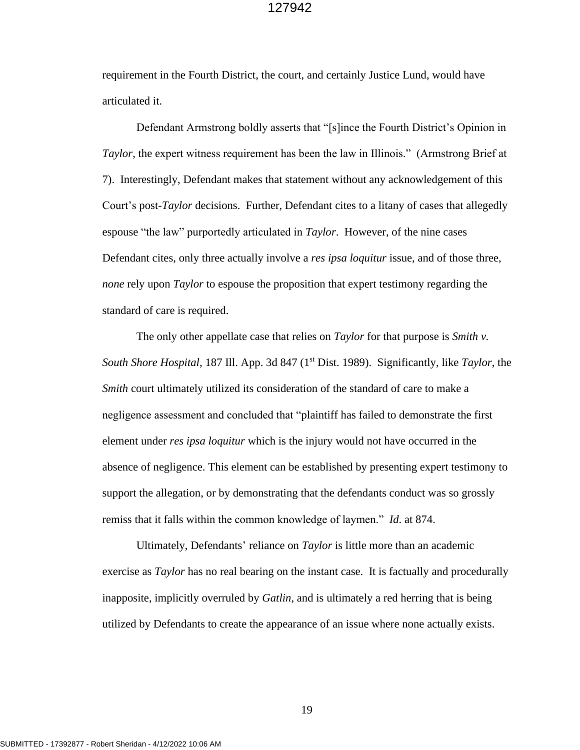requirement in the Fourth District, the court, and certainly Justice Lund, would have articulated it.

Defendant Armstrong boldly asserts that "[s]ince the Fourth District's Opinion in *Taylor*, the expert witness requirement has been the law in Illinois." (Armstrong Brief at 7). Interestingly, Defendant makes that statement without any acknowledgement of this Court's post-*Taylor* decisions. Further, Defendant cites to a litany of cases that allegedly espouse "the law" purportedly articulated in *Taylor*. However, of the nine cases Defendant cites, only three actually involve a *res ipsa loquitur* issue, and of those three, *none* rely upon *Taylor* to espouse the proposition that expert testimony regarding the standard of care is required.

The only other appellate case that relies on *Taylor* for that purpose is *Smith v. South Shore Hospital*, 187 Ill. App. 3d 847 (1<sup>st</sup> Dist. 1989). Significantly, like *Taylor*, the *Smith* court ultimately utilized its consideration of the standard of care to make a negligence assessment and concluded that "plaintiff has failed to demonstrate the first element under *res ipsa loquitur* which is the injury would not have occurred in the absence of negligence. This element can be established by presenting expert testimony to support the allegation, or by demonstrating that the defendants conduct was so grossly remiss that it falls within the common knowledge of laymen." *Id*. at 874.

Ultimately, Defendants' reliance on *Taylor* is little more than an academic exercise as *Taylor* has no real bearing on the instant case. It is factually and procedurally inapposite, implicitly overruled by *Gatlin*, and is ultimately a red herring that is being utilized by Defendants to create the appearance of an issue where none actually exists.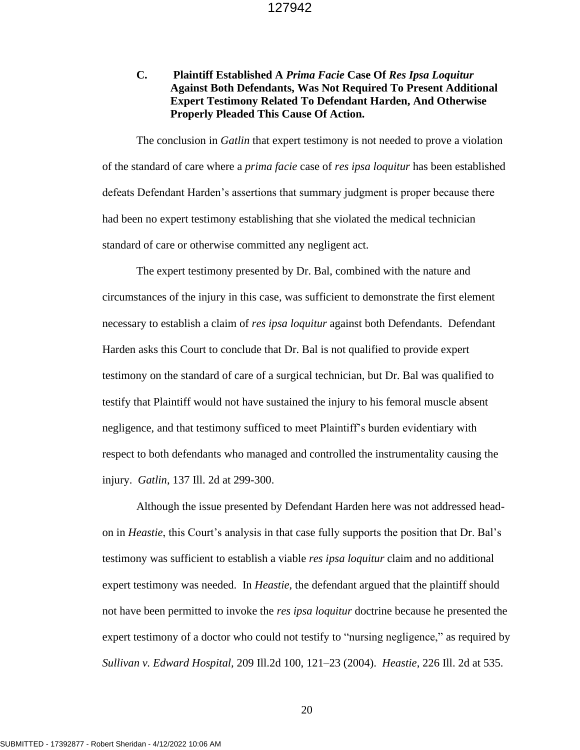# **C. Plaintiff Established A** *Prima Facie* **Case Of** *Res Ipsa Loquitur* **Against Both Defendants, Was Not Required To Present Additional Expert Testimony Related To Defendant Harden, And Otherwise Properly Pleaded This Cause Of Action.**

The conclusion in *Gatlin* that expert testimony is not needed to prove a violation of the standard of care where a *prima facie* case of *res ipsa loquitur* has been established defeats Defendant Harden's assertions that summary judgment is proper because there had been no expert testimony establishing that she violated the medical technician standard of care or otherwise committed any negligent act.

The expert testimony presented by Dr. Bal, combined with the nature and circumstances of the injury in this case, was sufficient to demonstrate the first element necessary to establish a claim of *res ipsa loquitur* against both Defendants. Defendant Harden asks this Court to conclude that Dr. Bal is not qualified to provide expert testimony on the standard of care of a surgical technician, but Dr. Bal was qualified to testify that Plaintiff would not have sustained the injury to his femoral muscle absent negligence, and that testimony sufficed to meet Plaintiff's burden evidentiary with respect to both defendants who managed and controlled the instrumentality causing the injury. *Gatlin*, 137 Ill. 2d at 299-300.

Although the issue presented by Defendant Harden here was not addressed headon in *Heastie*, this Court's analysis in that case fully supports the position that Dr. Bal's testimony was sufficient to establish a viable *res ipsa loquitur* claim and no additional expert testimony was needed. In *Heastie*, the defendant argued that the plaintiff should not have been permitted to invoke the *res ipsa loquitur* doctrine because he presented the expert testimony of a doctor who could not testify to "nursing negligence," as required by *Sullivan v. Edward Hospital,* [209 Ill.2d 100, 121–23 \(2004\).](http://www.westlaw.com/Link/Document/FullText?findType=Y&serNum=2004117640&pubNum=0000578&originatingDoc=I20dc75e4894511dca1e6fa81e64372bf&refType=RP&originationContext=document&vr=3.0&rs=cblt1.0&transitionType=DocumentItem&contextData=(sc.Keycite)) *Heastie*, 226 Ill. 2d at 535.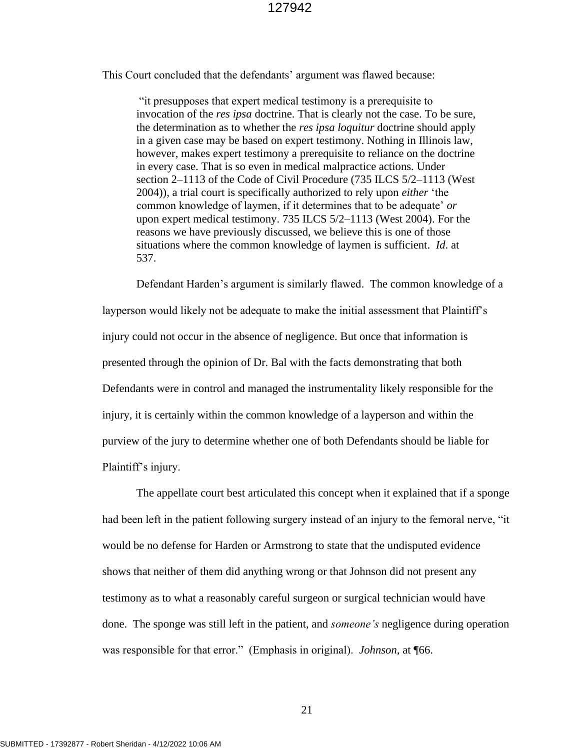This Court concluded that the defendants' argument was flawed because:

"it presupposes that expert medical testimony is a prerequisite to invocation of the *res ipsa* doctrine. That is clearly not the case. To be sure, the determination as to whether the *res ipsa loquitur* doctrine should apply in a given case may be based on expert testimony. Nothing in Illinois law, however, makes expert testimony a prerequisite to reliance on the doctrine in every case. That is so even in medical malpractice actions. Under [section 2–1113 of the Code of Civil Procedure](http://www.westlaw.com/Link/Document/FullText?findType=L&pubNum=1000008&cite=IL735S5%2f2-1113&originatingDoc=I20dc75e4894511dca1e6fa81e64372bf&refType=LQ&originationContext=document&vr=3.0&rs=cblt1.0&transitionType=DocumentItem&contextData=(sc.Keycite)) [\(735 ILCS 5/2–1113 \(West](http://www.westlaw.com/Link/Document/FullText?findType=L&pubNum=1000008&cite=IL735S5%2f2-1113&originatingDoc=I20dc75e4894511dca1e6fa81e64372bf&refType=LQ&originationContext=document&vr=3.0&rs=cblt1.0&transitionType=DocumentItem&contextData=(sc.Keycite))  [2004\)\)](http://www.westlaw.com/Link/Document/FullText?findType=L&pubNum=1000008&cite=IL735S5%2f2-1113&originatingDoc=I20dc75e4894511dca1e6fa81e64372bf&refType=LQ&originationContext=document&vr=3.0&rs=cblt1.0&transitionType=DocumentItem&contextData=(sc.Keycite)), a trial court is specifically authorized to rely upon *either* 'the common knowledge of laymen, if it determines that to be adequate' *or* upon expert medical testimony. [735 ILCS 5/2–1113 \(West 2004\).](http://www.westlaw.com/Link/Document/FullText?findType=L&pubNum=1000008&cite=IL735S5%2f2-1113&originatingDoc=I20dc75e4894511dca1e6fa81e64372bf&refType=LQ&originationContext=document&vr=3.0&rs=cblt1.0&transitionType=DocumentItem&contextData=(sc.Keycite)) For the reasons we have previously discussed, we believe this is one of those situations where the common knowledge of laymen is sufficient. *Id*. at 537.

Defendant Harden's argument is similarly flawed. The common knowledge of a layperson would likely not be adequate to make the initial assessment that Plaintiff's injury could not occur in the absence of negligence. But once that information is presented through the opinion of Dr. Bal with the facts demonstrating that both Defendants were in control and managed the instrumentality likely responsible for the injury, it is certainly within the common knowledge of a layperson and within the purview of the jury to determine whether one of both Defendants should be liable for Plaintiff's injury.

The appellate court best articulated this concept when it explained that if a sponge had been left in the patient following surgery instead of an injury to the femoral nerve, "it would be no defense for Harden or Armstrong to state that the undisputed evidence shows that neither of them did anything wrong or that Johnson did not present any testimony as to what a reasonably careful surgeon or surgical technician would have done. The sponge was still left in the patient, and *someone's* negligence during operation was responsible for that error." (Emphasis in original). *Johnson*, at ¶66.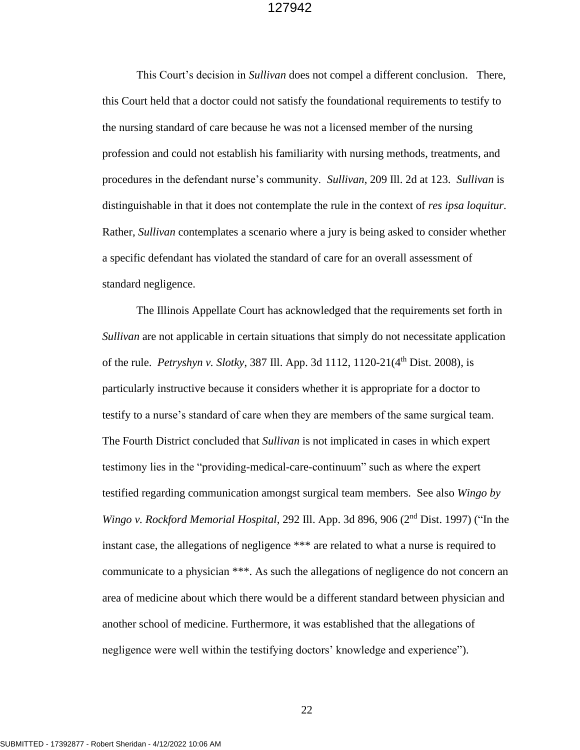This Court's decision in *Sullivan* does not compel a different conclusion. There, this Court held that a doctor could not satisfy the foundational requirements to testify to the nursing standard of care because he was not a licensed member of the nursing profession and could not establish his familiarity with nursing methods, treatments, and procedures in the defendant nurse's community. *Sullivan*, 209 Ill. 2d at 123. *Sullivan* is distinguishable in that it does not contemplate the rule in the context of *res ipsa loquitur*. Rather, *Sullivan* contemplates a scenario where a jury is being asked to consider whether a specific defendant has violated the standard of care for an overall assessment of standard negligence.

The Illinois Appellate Court has acknowledged that the requirements set forth in *Sullivan* are not applicable in certain situations that simply do not necessitate application of the rule. *Petryshyn v. Slotky*, 387 Ill. App. 3d 1112, 1120-21(4th Dist. 2008), is particularly instructive because it considers whether it is appropriate for a doctor to testify to a nurse's standard of care when they are members of the same surgical team. The Fourth District concluded that *Sullivan* is not implicated in cases in which expert testimony lies in the "providing-medical-care-continuum" such as where the expert testified regarding communication amongst surgical team members. See also *Wingo by Wingo v. Rockford Memorial Hospital*, 292 Ill. App. 3d 896, 906 (2nd Dist. 1997) ("In the instant case, the allegations of negligence \*\*\* are related to what a nurse is required to communicate to a physician \*\*\*. As such the allegations of negligence do not concern an area of medicine about which there would be a different standard between physician and another school of medicine. Furthermore, it was established that the allegations of negligence were well within the testifying doctors' knowledge and experience").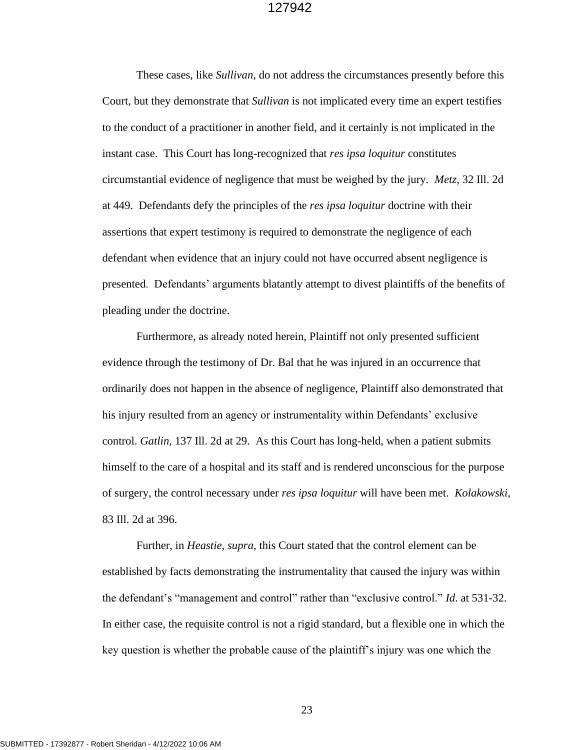These cases, like *Sullivan*, do not address the circumstances presently before this Court, but they demonstrate that *Sullivan* is not implicated every time an expert testifies to the conduct of a practitioner in another field, and it certainly is not implicated in the instant case. This Court has long-recognized that *res ipsa loquitur* constitutes circumstantial evidence of negligence that must be weighed by the jury. *Metz*, 32 Ill. 2d at 449. Defendants defy the principles of the *res ipsa loquitur* doctrine with their assertions that expert testimony is required to demonstrate the negligence of each defendant when evidence that an injury could not have occurred absent negligence is presented. Defendants' arguments blatantly attempt to divest plaintiffs of the benefits of pleading under the doctrine.

Furthermore, as already noted herein, Plaintiff not only presented sufficient evidence through the testimony of Dr. Bal that he was injured in an occurrence that ordinarily does not happen in the absence of negligence, Plaintiff also demonstrated that his injury resulted from an agency or instrumentality within Defendants' exclusive control. *Gatlin,* 137 Ill. 2d at 29. As this Court has long-held, when a patient submits himself to the care of a hospital and its staff and is rendered unconscious for the purpose of surgery, the control necessary under *res ipsa loquitur* will have been met. *Kolakowski*, 83 Ill. 2d at 396.

Further, in *Heastie*, *supra*, this Court stated that the control element can be established by facts demonstrating the instrumentality that caused the injury was within the defendant's "management and control" rather than "exclusive control." *Id*. at 531-32. In either case, the requisite control is not a rigid standard, but a flexible one in which the key question is whether the probable cause of the plaintiff's injury was one which the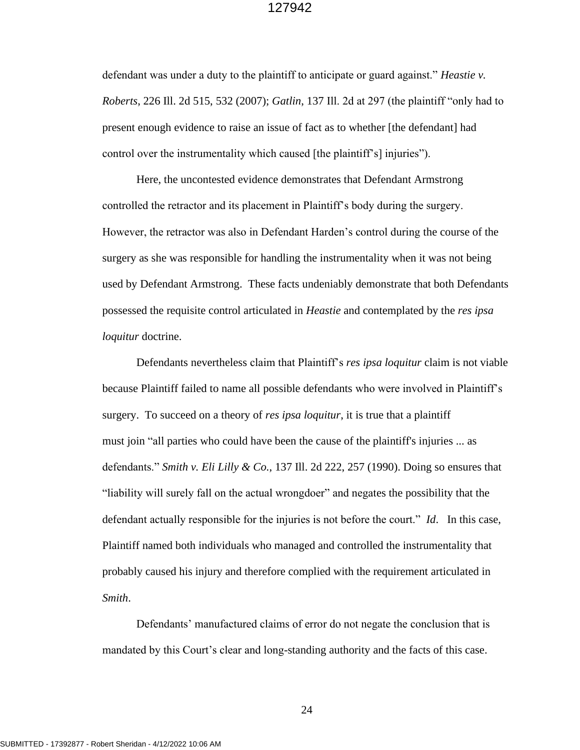defendant was under a duty to the plaintiff to anticipate or guard against." *Heastie v. Roberts*, 226 Ill. 2d 515, 532 (2007); *Gatlin*, 137 Ill. 2d at 297 (the plaintiff "only had to present enough evidence to raise an issue of fact as to whether [the defendant] had control over the instrumentality which caused [the plaintiff's] injuries").

Here, the uncontested evidence demonstrates that Defendant Armstrong controlled the retractor and its placement in Plaintiff's body during the surgery. However, the retractor was also in Defendant Harden's control during the course of the surgery as she was responsible for handling the instrumentality when it was not being used by Defendant Armstrong. These facts undeniably demonstrate that both Defendants possessed the requisite control articulated in *Heastie* and contemplated by the *res ipsa loquitur* doctrine.

Defendants nevertheless claim that Plaintiff's *res ipsa loquitur* claim is not viable because Plaintiff failed to name all possible defendants who were involved in Plaintiff's surgery. To succeed on a theory of *res ipsa loquitur*, it is true that a plaintiff must join "all parties who could have been the cause of the plaintiff's injuries ... as defendants." *Smith v. Eli Lilly & Co.*, 137 Ill. 2d 222, 257 (1990). Doing so ensures that "liability will surely fall on the actual wrongdoer" and negates the possibility that the defendant actually responsible for the injuries is not before the court." *Id*. In this case, Plaintiff named both individuals who managed and controlled the instrumentality that probably caused his injury and therefore complied with the requirement articulated in *Smith*.

Defendants' manufactured claims of error do not negate the conclusion that is mandated by this Court's clear and long-standing authority and the facts of this case.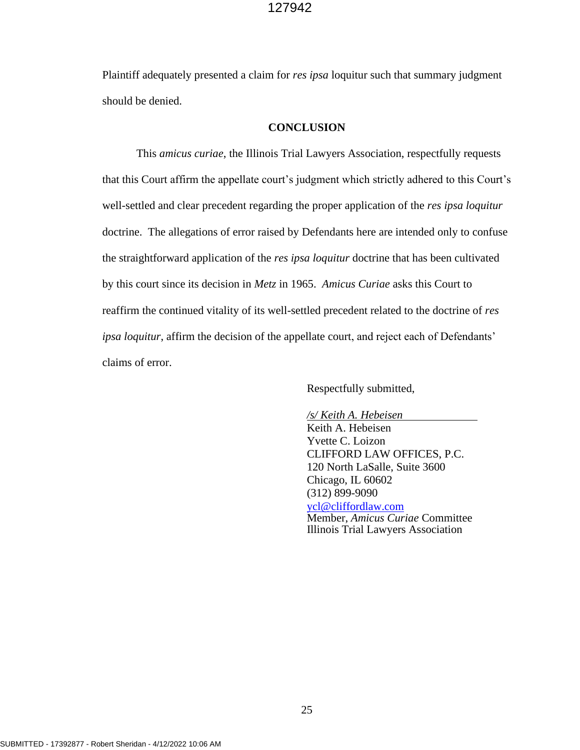Plaintiff adequately presented a claim for *res ipsa* loquitur such that summary judgment should be denied.

#### **CONCLUSION**

This *amicus curiae*, the Illinois Trial Lawyers Association, respectfully requests that this Court affirm the appellate court's judgment which strictly adhered to this Court's well-settled and clear precedent regarding the proper application of the *res ipsa loquitur* doctrine. The allegations of error raised by Defendants here are intended only to confuse the straightforward application of the *res ipsa loquitur* doctrine that has been cultivated by this court since its decision in *Metz* in 1965. *Amicus Curiae* asks this Court to reaffirm the continued vitality of its well-settled precedent related to the doctrine of *res ipsa loquitur*, affirm the decision of the appellate court, and reject each of Defendants' claims of error.

Respectfully submitted,

*/s/ Keith A. Hebeisen*

Keith A. Hebeisen Yvette C. Loizon CLIFFORD LAW OFFICES, P.C. 120 North LaSalle, Suite 3600 Chicago, IL 60602 (312) 899-9090 [ycl@cliffordlaw.com](mailto:ycl@cliffordlaw.com) Member, *Amicus Curiae* Committee Illinois Trial Lawyers Association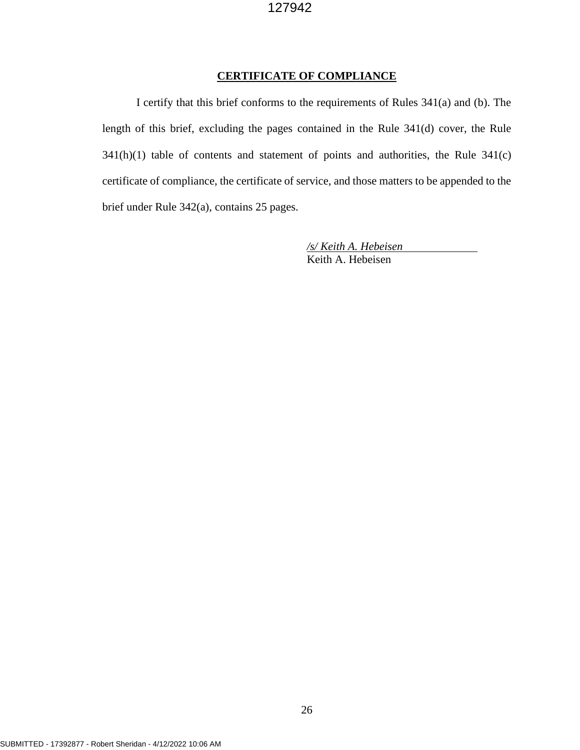#### **CERTIFICATE OF COMPLIANCE**

I certify that this brief conforms to the requirements of Rules 341(a) and (b). The length of this brief, excluding the pages contained in the Rule 341(d) cover, the Rule 341(h)(1) table of contents and statement of points and authorities, the Rule 341(c) certificate of compliance, the certificate of service, and those matters to be appended to the brief under Rule 342(a), contains 25 pages.

> */s/ Keith A. Hebeisen* Keith A. Hebeisen